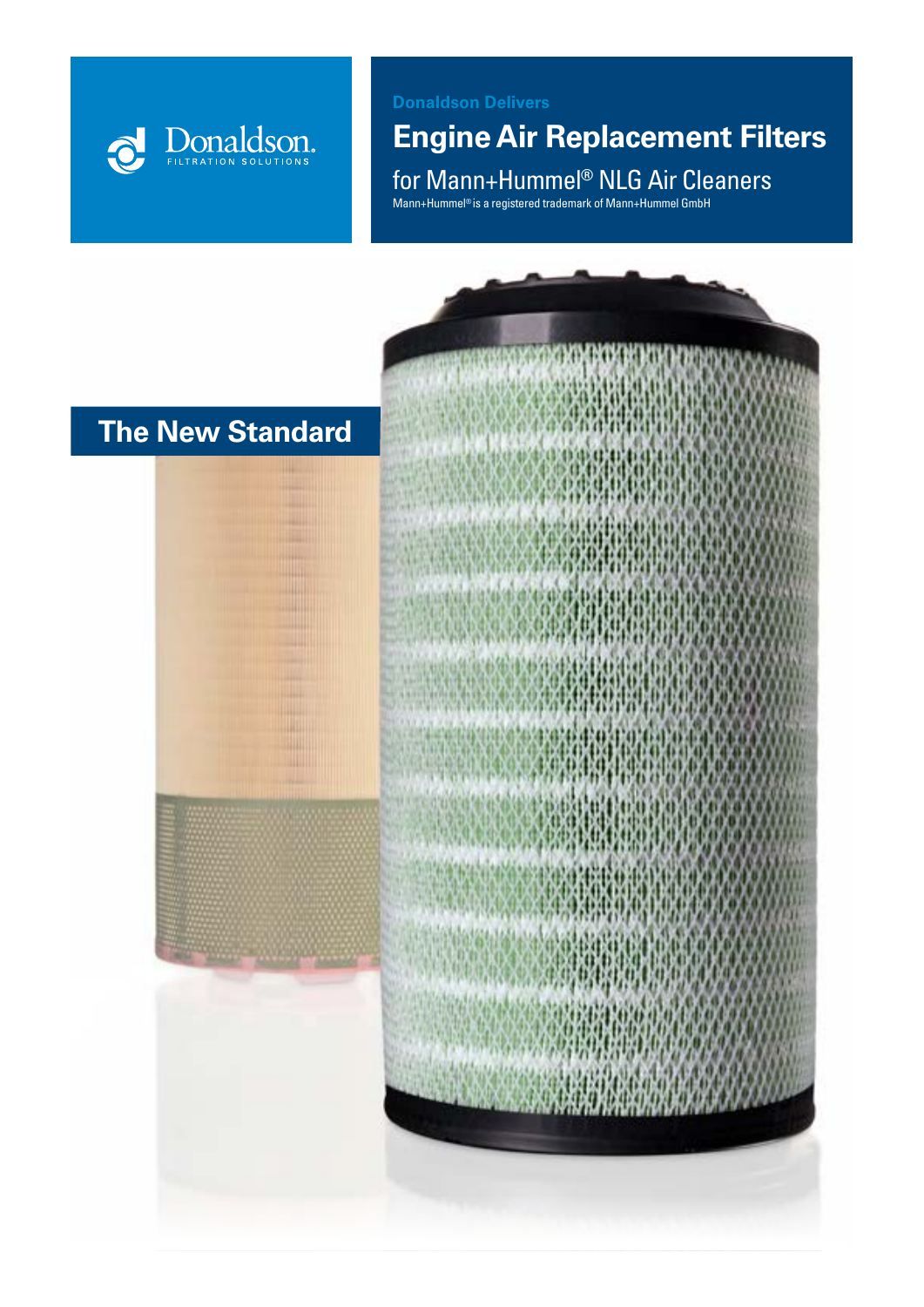

### **Donaldson Delivers**

## **Engine Air Replacement Filters**

for Mann+Hummel**®** NLG Air Cleaners

Mann+Hummel® is a registered trademark of Mann+Hummel GmbH

## **The New Standard**



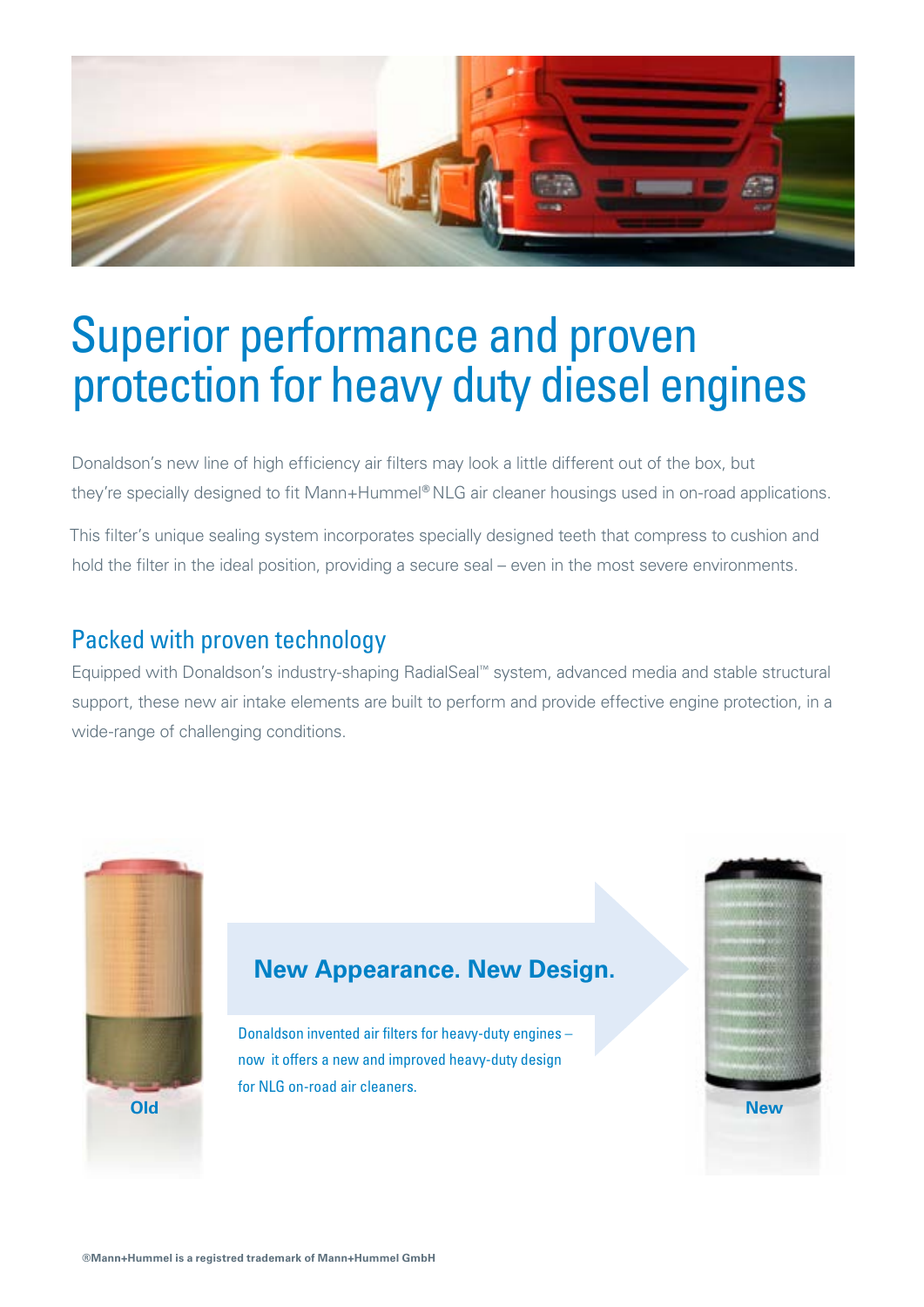

# Superior performance and proven protection for heavy duty diesel engines

Donaldson's new line of high efficiency air filters may look a little different out of the box, but they're specially designed to fit Mann+Hummel**®** NLG air cleaner housings used in on-road applications.

This filter's unique sealing system incorporates specially designed teeth that compress to cushion and hold the filter in the ideal position, providing a secure seal – even in the most severe environments.

## Packed with proven technology

Equipped with Donaldson's industry-shaping RadialSeal™ system, advanced media and stable structural support, these new air intake elements are built to perform and provide effective engine protection, in a wide-range of challenging conditions.



## **New Appearance. New Design.**

Donaldson invented air filters for heavy-duty engines – now it offers a new and improved heavy-duty design for NLG on-road air cleaners.

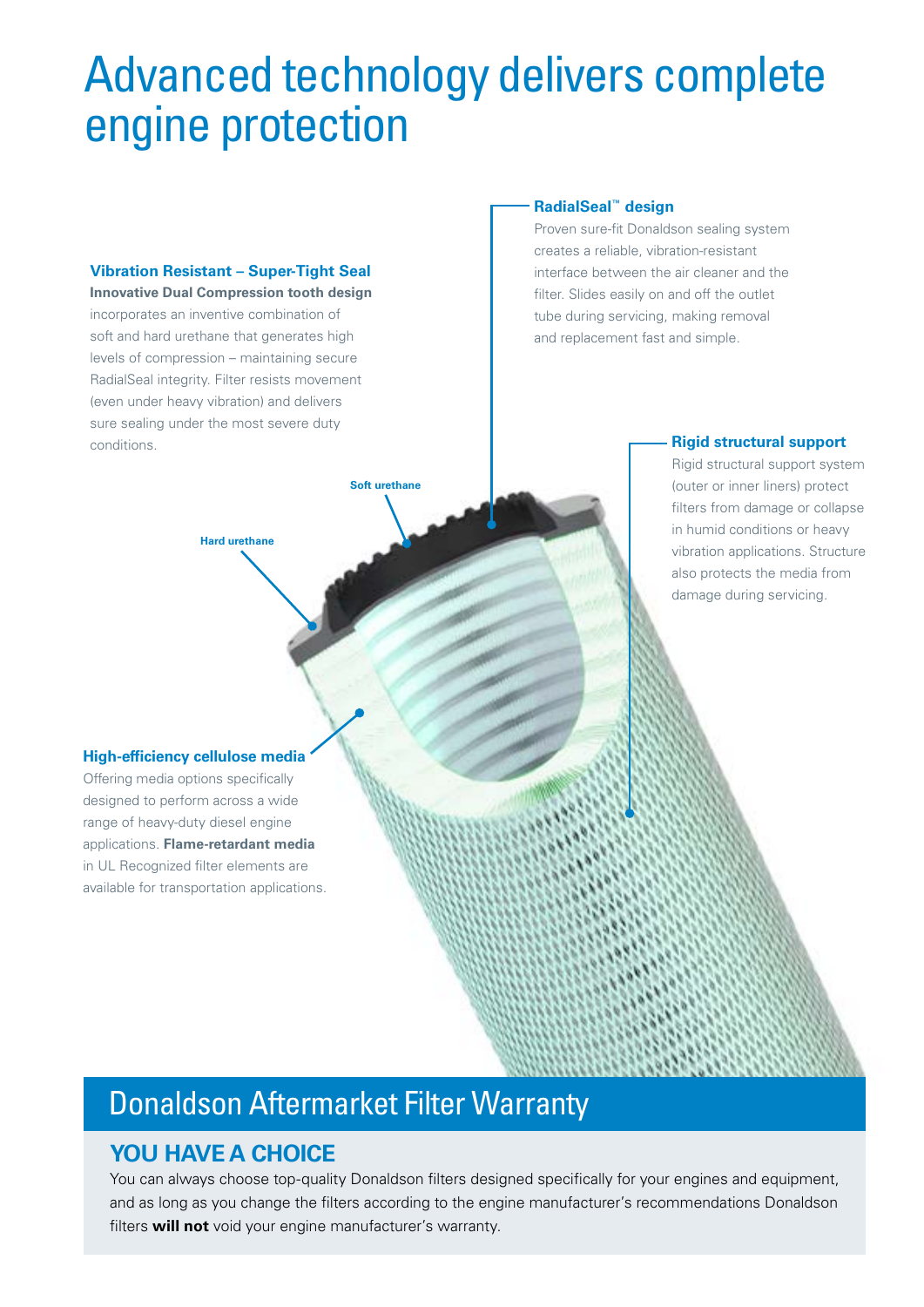## Advanced technology delivers complete engine protection

**Soft urethane**

#### **Vibration Resistant – Super-Tight Seal**

**Innovative Dual Compression tooth design**  incorporates an inventive combination of soft and hard urethane that generates high levels of compression – maintaining secure RadialSeal integrity. Filter resists movement (even under heavy vibration) and delivers sure sealing under the most severe duty conditions. **Rigid structural support**

**Hard urethane**

#### **RadialSeal™ design**

Proven sure-fit Donaldson sealing system creates a reliable, vibration-resistant interface between the air cleaner and the filter. Slides easily on and off the outlet tube during servicing, making removal and replacement fast and simple.

Rigid structural support system (outer or inner liners) protect filters from damage or collapse in humid conditions or heavy vibration applications. Structure also protects the media from damage during servicing.

#### **High-efficiency cellulose media**

Offering media options specifically designed to perform across a wide range of heavy-duty diesel engine applications. **Flame-retardant media** in UL Recognized filter elements are available for transportation applications.

## Donaldson Aftermarket Filter Warranty

### **YOU HAVE A CHOICE**

You can always choose top-quality Donaldson filters designed specifically for your engines and equipment, and as long as you change the filters according to the engine manufacturer's recommendations Donaldson filters **will not** void your engine manufacturer's warranty.